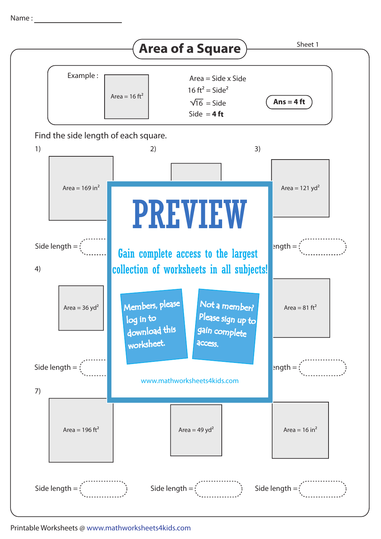